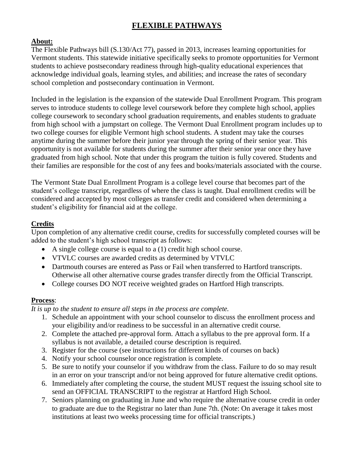# **FLEXIBLE PATHWAYS**

# **About:**

The Flexible Pathways bill (S.130/Act 77), passed in 2013, increases learning opportunities for Vermont students. This statewide initiative specifically seeks to promote opportunities for Vermont students to achieve postsecondary readiness through high-quality educational experiences that acknowledge individual goals, learning styles, and abilities; and increase the rates of secondary school completion and postsecondary continuation in Vermont.

Included in the legislation is the expansion of the statewide Dual Enrollment Program. This program serves to introduce students to college level coursework before they complete high school, applies college coursework to secondary school graduation requirements, and enables students to graduate from high school with a jumpstart on college. The Vermont Dual Enrollment program includes up to two college courses for eligible Vermont high school students. A student may take the courses anytime during the summer before their junior year through the spring of their senior year. This opportunity is not available for students during the summer after their senior year once they have graduated from high school. Note that under this program the tuition is fully covered. Students and their families are responsible for the cost of any fees and books/materials associated with the course.

The Vermont State Dual Enrollment Program is a college level course that becomes part of the student's college transcript, regardless of where the class is taught. Dual enrollment credits will be considered and accepted by most colleges as transfer credit and considered when determining a student's eligibility for financial aid at the college.

## **Credits**

Upon completion of any alternative credit course, credits for successfully completed courses will be added to the student's high school transcript as follows:

- A single college course is equal to a (1) credit high school course.
- VTVLC courses are awarded credits as determined by VTVLC
- Dartmouth courses are entered as Pass or Fail when transferred to Hartford transcripts. Otherwise all other alternative course grades transfer directly from the Official Transcript.
- College courses DO NOT receive weighted grades on Hartford High transcripts.

#### **Process**:

*It is up to the student to ensure all steps in the process are complete.*

- 1. Schedule an appointment with your school counselor to discuss the enrollment process and your eligibility and/or readiness to be successful in an alternative credit course.
- 2. Complete the attached pre-approval form. Attach a syllabus to the pre approval form. If a syllabus is not available, a detailed course description is required.
- 3. Register for the course (see instructions for different kinds of courses on back)
- 4. Notify your school counselor once registration is complete.
- 5. Be sure to notify your counselor if you withdraw from the class. Failure to do so may result in an error on your transcript and/or not being approved for future alternative credit options.
- 6. Immediately after completing the course, the student MUST request the issuing school site to send an OFFICIAL TRANSCRIPT to the registrar at Hartford High School.
- 7. Seniors planning on graduating in June and who require the alternative course credit in order to graduate are due to the Registrar no later than June 7th. (Note: On average it takes most institutions at least two weeks processing time for official transcripts.)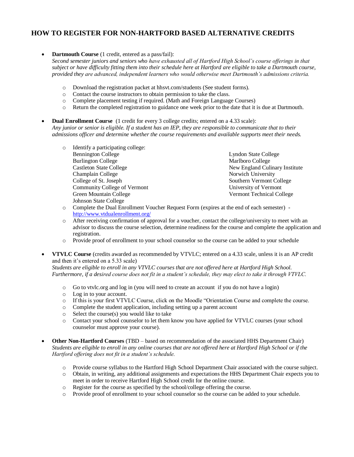## **HOW TO REGISTER FOR NON-HARTFORD BASED ALTERNATIVE CREDITS**

 **Dartmouth Course** (1 credit, entered as a pass/fail): *Second semester juniors and seniors who have exhausted all of Hartford High School's course offerings in that subject or have difficulty fitting them into their schedule here at Hartford are eligible to take a Dartmouth course, provided they are advanced, independent learners who would otherwise meet Dartmouth's admissions criteria.* 

- o Download the registration packet at hhsvt.com/students (See student forms).
- o Contact the course instructors to obtain permission to take the class.
- o Complete placement testing if required. (Math and Foreign Language Courses)
- o Return the completed registration to guidance one week prior to the date that it is due at Dartmouth.
- **Dual Enrollment Course** (1 credit for every 3 college credits; entered on a 4.33 scale): *Any junior or senior is eligible. If a student has an IEP, they are responsible to communicate that to their admissions officer and determine whether the course requirements and available supports meet their needs.* 
	- o Identify a participating college: Bennington College Burlington College Castleton State College Champlain College College of St. Joseph Community College of Vermont Green Mountain College Johnson State College

Lyndon State College Marlboro College New England Culinary Institute Norwich University Southern Vermont College University of Vermont Vermont Technical College

- o Complete the Dual Enrollment Voucher Request Form (expires at the end of each semester) <http://www.vtdualenrollment.org/>
- o After receiving confirmation of approval for a voucher, contact the college/university to meet with an advisor to discuss the course selection, determine readiness for the course and complete the application and registration.
- o Provide proof of enrollment to your school counselor so the course can be added to your schedule
- **VTVLC Course** (credits awarded as recommended by VTVLC; entered on a 4.33 scale, unless it is an AP credit and then it's entered on a 5.33 scale)

*Students are eligible to enroll in any VTVLC courses that are not offered here at Hartford High School. Furthermore, if a desired course does not fit in a student's schedule, they may elect to take it through VTVLC.*

- o Go to vtvlc.org and log in (you will need to create an account if you do not have a login)
- o Log in to your account.
- o If this is your first VTVLC Course, click on the Moodle "Orientation Course and complete the course.
- o Complete the student application, including setting up a parent account
- o Select the course(s) you would like to take
- o Contact your school counselor to let them know you have applied for VTVLC courses (your school counselor must approve your course).
- **Other Non-Hartford Courses** (TBD based on recommendation of the associated HHS Department Chair) *Students are eligible to enroll in any online courses that are not offered here at Hartford High School or if the Hartford offering does not fit in a student's schedule.* 
	- o Provide course syllabus to the Hartford High School Department Chair associated with the course subject.
	- o Obtain, in writing, any additional assignments and expectations the HHS Department Chair expects you to meet in order to receive Hartford High School credit for the online course.
	- o Register for the course as specified by the school/college offering the course.
	- o Provide proof of enrollment to your school counselor so the course can be added to your schedule.